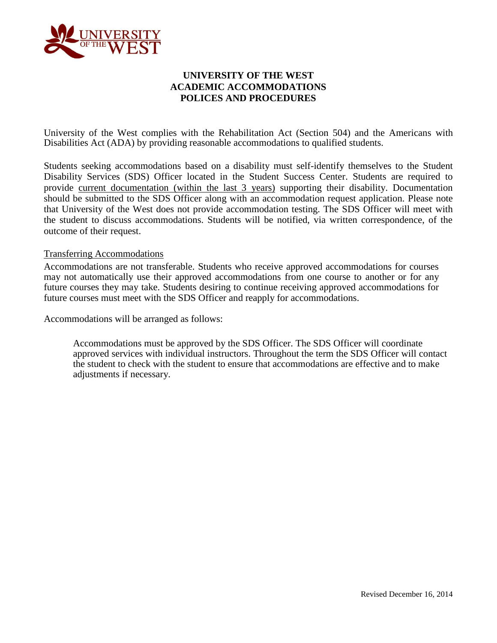

### **UNIVERSITY OF THE WEST ACADEMIC ACCOMMODATIONS POLICES AND PROCEDURES**

University of the West complies with the Rehabilitation Act (Section 504) and the Americans with Disabilities Act (ADA) by providing reasonable accommodations to qualified students.

Students seeking accommodations based on a disability must self-identify themselves to the Student Disability Services (SDS) Officer located in the Student Success Center. Students are required to provide current documentation (within the last 3 years) supporting their disability. Documentation should be submitted to the SDS Officer along with an accommodation request application. Please note that University of the West does not provide accommodation testing. The SDS Officer will meet with the student to discuss accommodations. Students will be notified, via written correspondence, of the outcome of their request.

#### Transferring Accommodations

Accommodations are not transferable. Students who receive approved accommodations for courses may not automatically use their approved accommodations from one course to another or for any future courses they may take. Students desiring to continue receiving approved accommodations for future courses must meet with the SDS Officer and reapply for accommodations.

Accommodations will be arranged as follows:

Accommodations must be approved by the SDS Officer. The SDS Officer will coordinate approved services with individual instructors. Throughout the term the SDS Officer will contact the student to check with the student to ensure that accommodations are effective and to make adjustments if necessary.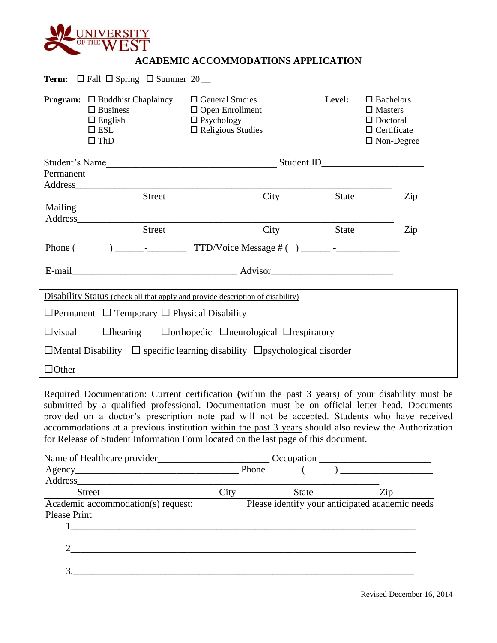

# **ACADEMIC ACCOMMODATIONS APPLICATION**

|               | <b>Program:</b> $\Box$ Buddhist Chaplaincy                                                                                                                                                                                     | $\Box$ General Studies                                                                                                                                                                                                                                                                                                                                                                                                                                                                                | <b>Level:</b> | $\Box$ Bachelors                                |
|---------------|--------------------------------------------------------------------------------------------------------------------------------------------------------------------------------------------------------------------------------|-------------------------------------------------------------------------------------------------------------------------------------------------------------------------------------------------------------------------------------------------------------------------------------------------------------------------------------------------------------------------------------------------------------------------------------------------------------------------------------------------------|---------------|-------------------------------------------------|
|               | $\Box$ Business                                                                                                                                                                                                                | $\Box$ Open Enrollment                                                                                                                                                                                                                                                                                                                                                                                                                                                                                |               | $\Box$ Masters                                  |
|               | $\Box$ English                                                                                                                                                                                                                 | $\Box$ Psychology                                                                                                                                                                                                                                                                                                                                                                                                                                                                                     |               | $\Box$ Doctoral                                 |
|               | $\square$ ESL                                                                                                                                                                                                                  | $\Box$ Religious Studies                                                                                                                                                                                                                                                                                                                                                                                                                                                                              |               | $\Box$ Certificate                              |
|               | $\square$ ThD                                                                                                                                                                                                                  |                                                                                                                                                                                                                                                                                                                                                                                                                                                                                                       |               | $\Box$ Non-Degree                               |
|               |                                                                                                                                                                                                                                |                                                                                                                                                                                                                                                                                                                                                                                                                                                                                                       |               |                                                 |
| Permanent     |                                                                                                                                                                                                                                |                                                                                                                                                                                                                                                                                                                                                                                                                                                                                                       |               |                                                 |
|               | Address and the state of the state of the state of the state of the state of the state of the state of the state of the state of the state of the state of the state of the state of the state of the state of the state of th |                                                                                                                                                                                                                                                                                                                                                                                                                                                                                                       |               |                                                 |
|               | <b>Street</b>                                                                                                                                                                                                                  | City                                                                                                                                                                                                                                                                                                                                                                                                                                                                                                  | State         | Zip                                             |
| Mailing       |                                                                                                                                                                                                                                |                                                                                                                                                                                                                                                                                                                                                                                                                                                                                                       |               |                                                 |
|               | Address<br><b>Street</b>                                                                                                                                                                                                       | City                                                                                                                                                                                                                                                                                                                                                                                                                                                                                                  | State         | Zip                                             |
|               |                                                                                                                                                                                                                                |                                                                                                                                                                                                                                                                                                                                                                                                                                                                                                       |               |                                                 |
| Phone (       |                                                                                                                                                                                                                                |                                                                                                                                                                                                                                                                                                                                                                                                                                                                                                       |               |                                                 |
|               |                                                                                                                                                                                                                                |                                                                                                                                                                                                                                                                                                                                                                                                                                                                                                       |               |                                                 |
|               |                                                                                                                                                                                                                                |                                                                                                                                                                                                                                                                                                                                                                                                                                                                                                       |               |                                                 |
|               |                                                                                                                                                                                                                                | <b>Disability Status</b> (check all that apply and provide description of disability)                                                                                                                                                                                                                                                                                                                                                                                                                 |               |                                                 |
|               | $\Box$ Permanent $\Box$ Temporary $\Box$ Physical Disability                                                                                                                                                                   |                                                                                                                                                                                                                                                                                                                                                                                                                                                                                                       |               |                                                 |
| $\Box$ visual |                                                                                                                                                                                                                                | $\Box$ hearing $\Box$ Dorthopedic $\Box$ neurological $\Box$ respiratory                                                                                                                                                                                                                                                                                                                                                                                                                              |               |                                                 |
|               |                                                                                                                                                                                                                                | $\Box$ Mental Disability $\Box$ specific learning disability $\Box$ psychological disorder                                                                                                                                                                                                                                                                                                                                                                                                            |               |                                                 |
| $\Box$ Other  |                                                                                                                                                                                                                                |                                                                                                                                                                                                                                                                                                                                                                                                                                                                                                       |               |                                                 |
|               |                                                                                                                                                                                                                                |                                                                                                                                                                                                                                                                                                                                                                                                                                                                                                       |               |                                                 |
|               |                                                                                                                                                                                                                                | Required Documentation: Current certification (within the past 3 years) of your disability must be<br>submitted by a qualified professional. Documentation must be on official letter head. Documents<br>provided on a doctor's prescription note pad will not be accepted. Students who have received<br>accommodations at a previous institution within the past 3 years should also review the Authorization<br>for Release of Student Information Form located on the last page of this document. |               |                                                 |
|               |                                                                                                                                                                                                                                |                                                                                                                                                                                                                                                                                                                                                                                                                                                                                                       |               |                                                 |
|               |                                                                                                                                                                                                                                | Agency Phone Phone<br>$\left($                                                                                                                                                                                                                                                                                                                                                                                                                                                                        |               |                                                 |
|               |                                                                                                                                                                                                                                |                                                                                                                                                                                                                                                                                                                                                                                                                                                                                                       |               |                                                 |
|               | Street                                                                                                                                                                                                                         | City                                                                                                                                                                                                                                                                                                                                                                                                                                                                                                  | State         | Zip                                             |
|               |                                                                                                                                                                                                                                | Academic accommodation(s) request:                                                                                                                                                                                                                                                                                                                                                                                                                                                                    |               | Please identify your anticipated academic needs |

3.\_\_\_\_\_\_\_\_\_\_\_\_\_\_\_\_\_\_\_\_\_\_\_\_\_\_\_\_\_\_\_\_\_\_\_\_\_\_\_\_\_\_\_\_\_\_\_\_\_\_\_\_\_\_\_\_\_\_\_\_\_\_\_\_\_\_\_\_\_\_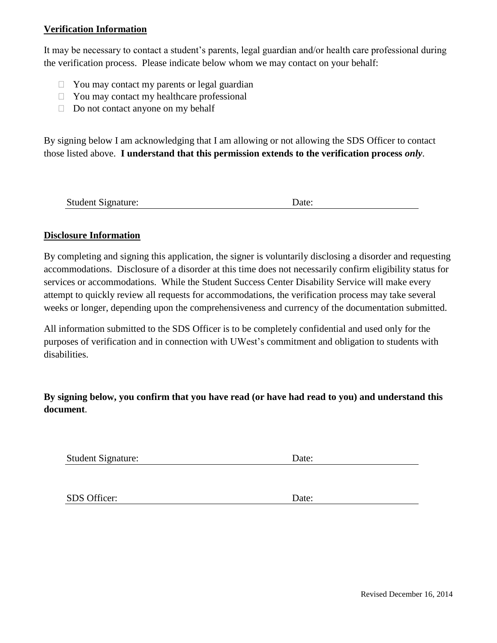### **Verification Information**

It may be necessary to contact a student's parents, legal guardian and/or health care professional during the verification process. Please indicate below whom we may contact on your behalf:

- $\Box$  You may contact my parents or legal guardian
- $\Box$  You may contact my healthcare professional
- $\Box$  Do not contact anyone on my behalf

By signing below I am acknowledging that I am allowing or not allowing the SDS Officer to contact those listed above. **I understand that this permission extends to the verification process** *only*.

| <b>Student Signature:</b> | Date: |
|---------------------------|-------|
|                           |       |

#### **Disclosure Information**

By completing and signing this application, the signer is voluntarily disclosing a disorder and requesting accommodations. Disclosure of a disorder at this time does not necessarily confirm eligibility status for services or accommodations. While the Student Success Center Disability Service will make every attempt to quickly review all requests for accommodations, the verification process may take several weeks or longer, depending upon the comprehensiveness and currency of the documentation submitted.

All information submitted to the SDS Officer is to be completely confidential and used only for the purposes of verification and in connection with UWest's commitment and obligation to students with disabilities.

**By signing below, you confirm that you have read (or have had read to you) and understand this document**.

Student Signature: Date:

SDS Officer: Date: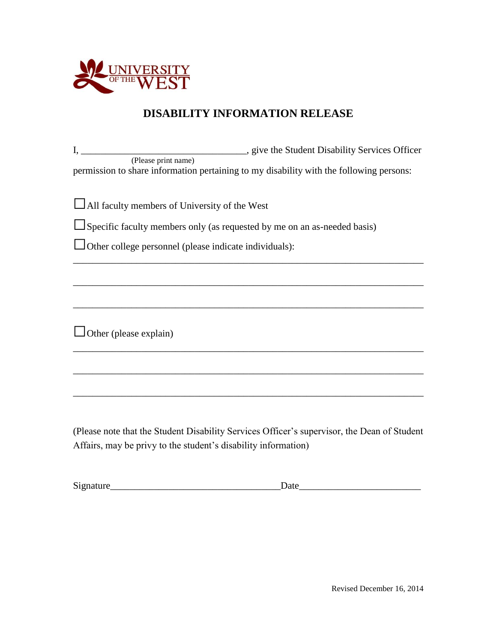

# **DISABILITY INFORMATION RELEASE**

I, \_\_\_\_\_\_\_\_\_\_\_\_\_\_\_\_\_\_\_\_\_\_\_\_\_\_\_\_\_\_\_\_\_\_\_, give the Student Disability Services Officer (Please print name) permission to share information pertaining to my disability with the following persons:

\_\_\_\_\_\_\_\_\_\_\_\_\_\_\_\_\_\_\_\_\_\_\_\_\_\_\_\_\_\_\_\_\_\_\_\_\_\_\_\_\_\_\_\_\_\_\_\_\_\_\_\_\_\_\_\_\_\_\_\_\_\_\_\_\_\_\_\_\_\_\_\_

\_\_\_\_\_\_\_\_\_\_\_\_\_\_\_\_\_\_\_\_\_\_\_\_\_\_\_\_\_\_\_\_\_\_\_\_\_\_\_\_\_\_\_\_\_\_\_\_\_\_\_\_\_\_\_\_\_\_\_\_\_\_\_\_\_\_\_\_\_\_\_\_

\_\_\_\_\_\_\_\_\_\_\_\_\_\_\_\_\_\_\_\_\_\_\_\_\_\_\_\_\_\_\_\_\_\_\_\_\_\_\_\_\_\_\_\_\_\_\_\_\_\_\_\_\_\_\_\_\_\_\_\_\_\_\_\_\_\_\_\_\_\_\_\_

\_\_\_\_\_\_\_\_\_\_\_\_\_\_\_\_\_\_\_\_\_\_\_\_\_\_\_\_\_\_\_\_\_\_\_\_\_\_\_\_\_\_\_\_\_\_\_\_\_\_\_\_\_\_\_\_\_\_\_\_\_\_\_\_\_\_\_\_\_\_\_\_

\_\_\_\_\_\_\_\_\_\_\_\_\_\_\_\_\_\_\_\_\_\_\_\_\_\_\_\_\_\_\_\_\_\_\_\_\_\_\_\_\_\_\_\_\_\_\_\_\_\_\_\_\_\_\_\_\_\_\_\_\_\_\_\_\_\_\_\_\_\_\_\_

\_\_\_\_\_\_\_\_\_\_\_\_\_\_\_\_\_\_\_\_\_\_\_\_\_\_\_\_\_\_\_\_\_\_\_\_\_\_\_\_\_\_\_\_\_\_\_\_\_\_\_\_\_\_\_\_\_\_\_\_\_\_\_\_\_\_\_\_\_\_\_\_

□All faculty members of University of the West

 $\Box$ Specific faculty members only (as requested by me on an as-needed basis)

□Other college personnel (please indicate individuals):

 $\Box$  Other (please explain)

(Please note that the Student Disability Services Officer's supervisor, the Dean of Student Affairs, may be privy to the student's disability information)

| n.<br>Signature | uu |
|-----------------|----|
|-----------------|----|